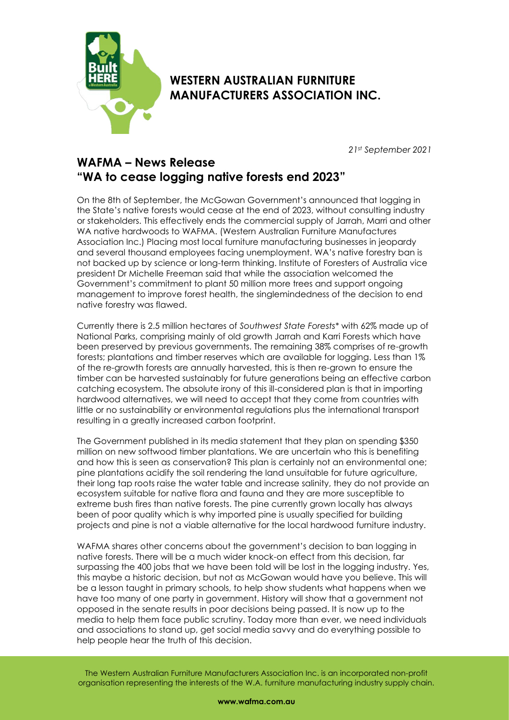

## **WESTERN AUSTRALIAN FURNITURE MANUFACTURERS ASSOCIATION INC.**

*21st September 2021*

## **WAFMA – News Release "WA to cease logging native forests end 2023"**

On the 8th of September, the McGowan Government's announced that logging in the State's native forests would cease at the end of 2023, without consulting industry or stakeholders. This effectively ends the commercial supply of Jarrah, Marri and other WA native hardwoods to WAFMA. (Western Australian Furniture Manufactures Association Inc.) Placing most local furniture manufacturing businesses in jeopardy and several thousand employees facing unemployment. WA's native forestry ban is not backed up by science or long-term thinking. Institute of Foresters of Australia vice president Dr Michelle Freeman said that while the association welcomed the Government's commitment to plant 50 million more trees and support ongoing management to improve forest health, the singlemindedness of the decision to end native forestry was flawed.

Currently there is 2.5 million hectares of *Southwest State Forests\** with 62% made up of National Parks, comprising mainly of old growth Jarrah and Karri Forests which have been preserved by previous governments. The remaining 38% comprises of re-growth forests; plantations and timber reserves which are available for logging. Less than 1% of the re-growth forests are annually harvested, this is then re-grown to ensure the timber can be harvested sustainably for future generations being an effective carbon catching ecosystem. The absolute irony of this ill-considered plan is that in importing hardwood alternatives, we will need to accept that they come from countries with little or no sustainability or environmental regulations plus the international transport resulting in a greatly increased carbon footprint.

The Government published in its media statement that they plan on spending \$350 million on new softwood timber plantations. We are uncertain who this is benefiting and how this is seen as conservation? This plan is certainly not an environmental one; pine plantations acidify the soil rendering the land unsuitable for future agriculture, their long tap roots raise the water table and increase salinity, they do not provide an ecosystem suitable for native flora and fauna and they are more susceptible to extreme bush fires than native forests. The pine currently grown locally has always been of poor quality which is why imported pine is usually specified for building projects and pine is not a viable alternative for the local hardwood furniture industry.

WAFMA shares other concerns about the government's decision to ban logging in native forests. There will be a much wider knock-on effect from this decision, far surpassing the 400 jobs that we have been told will be lost in the logging industry. Yes, this maybe a historic decision, but not as McGowan would have you believe. This will be a lesson taught in primary schools, to help show students what happens when we have too many of one party in government. History will show that a government not opposed in the senate results in poor decisions being passed. It is now up to the media to help them face public scrutiny. Today more than ever, we need individuals and associations to stand up, get social media savvy and do everything possible to help people hear the truth of this decision.

The Western Australian Furniture Manufacturers Association Inc. is an incorporated non-profit organisation representing the interests of the W.A. furniture manufacturing industry supply chain.